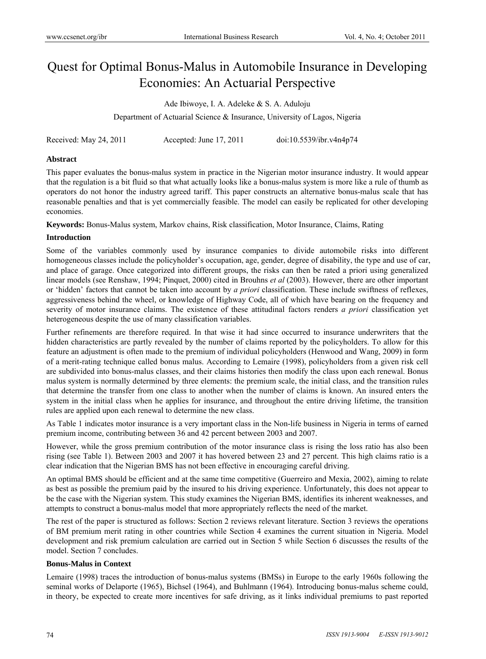# Quest for Optimal Bonus-Malus in Automobile Insurance in Developing Economies: An Actuarial Perspective

Ade Ibiwoye, I. A. Adeleke & S. A. Aduloju

Department of Actuarial Science & Insurance, University of Lagos, Nigeria

Received: May 24, 2011 Accepted: June 17, 2011 doi:10.5539/ibr.v4n4p74

#### **Abstract**

This paper evaluates the bonus-malus system in practice in the Nigerian motor insurance industry. It would appear that the regulation is a bit fluid so that what actually looks like a bonus-malus system is more like a rule of thumb as operators do not honor the industry agreed tariff. This paper constructs an alternative bonus-malus scale that has reasonable penalties and that is yet commercially feasible. The model can easily be replicated for other developing economies.

**Keywords:** Bonus-Malus system, Markov chains, Risk classification, Motor Insurance, Claims, Rating

### **Introduction**

Some of the variables commonly used by insurance companies to divide automobile risks into different homogeneous classes include the policyholder's occupation, age, gender, degree of disability, the type and use of car, and place of garage. Once categorized into different groups, the risks can then be rated a priori using generalized linear models (see Renshaw, 1994; Pinquet, 2000) cited in Brouhns *et al* (2003). However, there are other important or 'hidden' factors that cannot be taken into account by *a priori* classification. These include swiftness of reflexes, aggressiveness behind the wheel, or knowledge of Highway Code, all of which have bearing on the frequency and severity of motor insurance claims. The existence of these attitudinal factors renders *a priori* classification yet heterogeneous despite the use of many classification variables.

Further refinements are therefore required. In that wise it had since occurred to insurance underwriters that the hidden characteristics are partly revealed by the number of claims reported by the policyholders. To allow for this feature an adjustment is often made to the premium of individual policyholders (Henwood and Wang, 2009) in form of a merit-rating technique called bonus malus. According to Lemaire (1998), policyholders from a given risk cell are subdivided into bonus-malus classes, and their claims histories then modify the class upon each renewal. Bonus malus system is normally determined by three elements: the premium scale, the initial class, and the transition rules that determine the transfer from one class to another when the number of claims is known. An insured enters the system in the initial class when he applies for insurance, and throughout the entire driving lifetime, the transition rules are applied upon each renewal to determine the new class.

As Table 1 indicates motor insurance is a very important class in the Non-life business in Nigeria in terms of earned premium income, contributing between 36 and 42 percent between 2003 and 2007.

However, while the gross premium contribution of the motor insurance class is rising the loss ratio has also been rising (see Table 1). Between 2003 and 2007 it has hovered between 23 and 27 percent. This high claims ratio is a clear indication that the Nigerian BMS has not been effective in encouraging careful driving.

An optimal BMS should be efficient and at the same time competitive (Guerreiro and Mexia, 2002), aiming to relate as best as possible the premium paid by the insured to his driving experience. Unfortunately, this does not appear to be the case with the Nigerian system. This study examines the Nigerian BMS, identifies its inherent weaknesses, and attempts to construct a bonus-malus model that more appropriately reflects the need of the market.

The rest of the paper is structured as follows: Section 2 reviews relevant literature. Section 3 reviews the operations of BM premium merit rating in other countries while Section 4 examines the current situation in Nigeria. Model development and risk premium calculation are carried out in Section 5 while Section 6 discusses the results of the model. Section 7 concludes.

#### **Bonus-Malus in Context**

Lemaire (1998) traces the introduction of bonus-malus systems (BMSs) in Europe to the early 1960s following the seminal works of Delaporte (1965), Bichsel (1964), and Buhlmann (1964). Introducing bonus-malus scheme could, in theory, be expected to create more incentives for safe driving, as it links individual premiums to past reported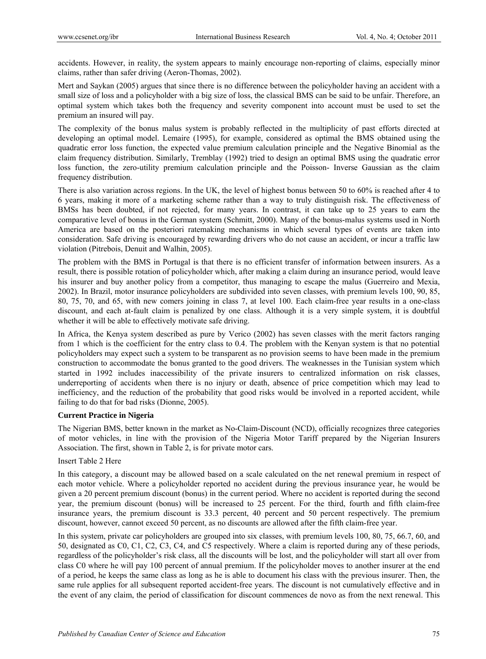accidents. However, in reality, the system appears to mainly encourage non-reporting of claims, especially minor claims, rather than safer driving (Aeron-Thomas, 2002).

Mert and Saykan (2005) argues that since there is no difference between the policyholder having an accident with a small size of loss and a policyholder with a big size of loss, the classical BMS can be said to be unfair. Therefore, an optimal system which takes both the frequency and severity component into account must be used to set the premium an insured will pay.

The complexity of the bonus malus system is probably reflected in the multiplicity of past efforts directed at developing an optimal model. Lemaire (1995), for example, considered as optimal the BMS obtained using the quadratic error loss function, the expected value premium calculation principle and the Negative Binomial as the claim frequency distribution. Similarly, Tremblay (1992) tried to design an optimal BMS using the quadratic error loss function, the zero-utility premium calculation principle and the Poisson- Inverse Gaussian as the claim frequency distribution.

There is also variation across regions. In the UK, the level of highest bonus between 50 to 60% is reached after 4 to 6 years, making it more of a marketing scheme rather than a way to truly distinguish risk. The effectiveness of BMSs has been doubted, if not rejected, for many years. In contrast, it can take up to 25 years to earn the comparative level of bonus in the German system (Schmitt, 2000). Many of the bonus-malus systems used in North America are based on the posteriori ratemaking mechanisms in which several types of events are taken into consideration. Safe driving is encouraged by rewarding drivers who do not cause an accident, or incur a traffic law violation (Pitrebois, Denuit and Walhin, 2005).

The problem with the BMS in Portugal is that there is no efficient transfer of information between insurers. As a result, there is possible rotation of policyholder which, after making a claim during an insurance period, would leave his insurer and buy another policy from a competitor, thus managing to escape the malus (Guerreiro and Mexia, 2002). In Brazil, motor insurance policyholders are subdivided into seven classes, with premium levels 100, 90, 85, 80, 75, 70, and 65, with new comers joining in class 7, at level 100. Each claim-free year results in a one-class discount, and each at-fault claim is penalized by one class. Although it is a very simple system, it is doubtful whether it will be able to effectively motivate safe driving.

In Africa, the Kenya system described as pure by Verico (2002) has seven classes with the merit factors ranging from 1 which is the coefficient for the entry class to 0.4. The problem with the Kenyan system is that no potential policyholders may expect such a system to be transparent as no provision seems to have been made in the premium construction to accommodate the bonus granted to the good drivers. The weaknesses in the Tunisian system which started in 1992 includes inaccessibility of the private insurers to centralized information on risk classes, underreporting of accidents when there is no injury or death, absence of price competition which may lead to inefficiency, and the reduction of the probability that good risks would be involved in a reported accident, while failing to do that for bad risks (Dionne, 2005).

## **Current Practice in Nigeria**

The Nigerian BMS, better known in the market as No-Claim-Discount (NCD), officially recognizes three categories of motor vehicles, in line with the provision of the Nigeria Motor Tariff prepared by the Nigerian Insurers Association. The first, shown in Table 2, is for private motor cars.

## Insert Table 2 Here

In this category, a discount may be allowed based on a scale calculated on the net renewal premium in respect of each motor vehicle. Where a policyholder reported no accident during the previous insurance year, he would be given a 20 percent premium discount (bonus) in the current period. Where no accident is reported during the second year, the premium discount (bonus) will be increased to 25 percent. For the third, fourth and fifth claim-free insurance years, the premium discount is 33.3 percent, 40 percent and 50 percent respectively. The premium discount, however, cannot exceed 50 percent, as no discounts are allowed after the fifth claim-free year.

In this system, private car policyholders are grouped into six classes, with premium levels 100, 80, 75, 66.7, 60, and 50, designated as C0, C1, C2, C3, C4, and C5 respectively. Where a claim is reported during any of these periods, regardless of the policyholder's risk class, all the discounts will be lost, and the policyholder will start all over from class C0 where he will pay 100 percent of annual premium. If the policyholder moves to another insurer at the end of a period, he keeps the same class as long as he is able to document his class with the previous insurer. Then, the same rule applies for all subsequent reported accident-free years. The discount is not cumulatively effective and in the event of any claim, the period of classification for discount commences de novo as from the next renewal. This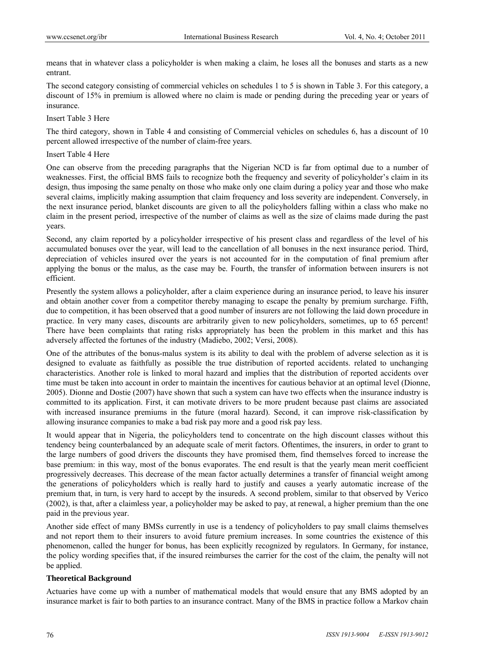means that in whatever class a policyholder is when making a claim, he loses all the bonuses and starts as a new entrant.

The second category consisting of commercial vehicles on schedules 1 to 5 is shown in Table 3. For this category, a discount of 15% in premium is allowed where no claim is made or pending during the preceding year or years of insurance.

Insert Table 3 Here

The third category, shown in Table 4 and consisting of Commercial vehicles on schedules 6, has a discount of 10 percent allowed irrespective of the number of claim-free years.

Insert Table 4 Here

One can observe from the preceding paragraphs that the Nigerian NCD is far from optimal due to a number of weaknesses. First, the official BMS fails to recognize both the frequency and severity of policyholder's claim in its design, thus imposing the same penalty on those who make only one claim during a policy year and those who make several claims, implicitly making assumption that claim frequency and loss severity are independent. Conversely, in the next insurance period, blanket discounts are given to all the policyholders falling within a class who make no claim in the present period, irrespective of the number of claims as well as the size of claims made during the past years.

Second, any claim reported by a policyholder irrespective of his present class and regardless of the level of his accumulated bonuses over the year, will lead to the cancellation of all bonuses in the next insurance period. Third, depreciation of vehicles insured over the years is not accounted for in the computation of final premium after applying the bonus or the malus, as the case may be. Fourth, the transfer of information between insurers is not efficient.

Presently the system allows a policyholder, after a claim experience during an insurance period, to leave his insurer and obtain another cover from a competitor thereby managing to escape the penalty by premium surcharge. Fifth, due to competition, it has been observed that a good number of insurers are not following the laid down procedure in practice. In very many cases, discounts are arbitrarily given to new policyholders, sometimes, up to 65 percent! There have been complaints that rating risks appropriately has been the problem in this market and this has adversely affected the fortunes of the industry (Madiebo, 2002; Versi, 2008).

One of the attributes of the bonus-malus system is its ability to deal with the problem of adverse selection as it is designed to evaluate as faithfully as possible the true distribution of reported accidents. related to unchanging characteristics. Another role is linked to moral hazard and implies that the distribution of reported accidents over time must be taken into account in order to maintain the incentives for cautious behavior at an optimal level (Dionne, 2005). Dionne and Dostie (2007) have shown that such a system can have two effects when the insurance industry is committed to its application. First, it can motivate drivers to be more prudent because past claims are associated with increased insurance premiums in the future (moral hazard). Second, it can improve risk-classification by allowing insurance companies to make a bad risk pay more and a good risk pay less.

It would appear that in Nigeria, the policyholders tend to concentrate on the high discount classes without this tendency being counterbalanced by an adequate scale of merit factors. Oftentimes, the insurers, in order to grant to the large numbers of good drivers the discounts they have promised them, find themselves forced to increase the base premium: in this way, most of the bonus evaporates. The end result is that the yearly mean merit coefficient progressively decreases. This decrease of the mean factor actually determines a transfer of financial weight among the generations of policyholders which is really hard to justify and causes a yearly automatic increase of the premium that, in turn, is very hard to accept by the insureds. A second problem, similar to that observed by Verico (2002), is that, after a claimless year, a policyholder may be asked to pay, at renewal, a higher premium than the one paid in the previous year.

Another side effect of many BMSs currently in use is a tendency of policyholders to pay small claims themselves and not report them to their insurers to avoid future premium increases. In some countries the existence of this phenomenon, called the hunger for bonus, has been explicitly recognized by regulators. In Germany, for instance, the policy wording specifies that, if the insured reimburses the carrier for the cost of the claim, the penalty will not be applied.

#### **Theoretical Background**

Actuaries have come up with a number of mathematical models that would ensure that any BMS adopted by an insurance market is fair to both parties to an insurance contract. Many of the BMS in practice follow a Markov chain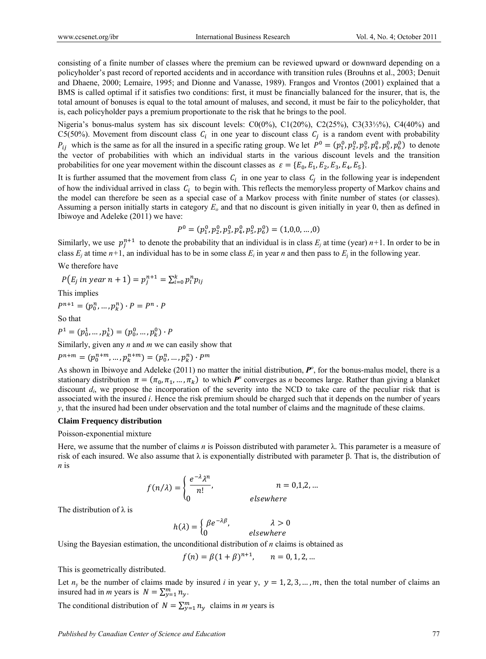consisting of a finite number of classes where the premium can be reviewed upward or downward depending on a policyholder's past record of reported accidents and in accordance with transition rules (Brouhns et al., 2003; Denuit and Dhaene, 2000; Lemaire, 1995; and Dionne and Vanasse, 1989). Frangos and Vrontos (2001) explained that a BMS is called optimal if it satisfies two conditions: first, it must be financially balanced for the insurer, that is, the total amount of bonuses is equal to the total amount of maluses, and second, it must be fair to the policyholder, that is, each policyholder pays a premium proportionate to the risk that he brings to the pool.

Nigeria's bonus-malus system has six discount levels: C0(0%), C1(20%), C2(25%), C3(33⅓%), C4(40%) and C5(50%). Movement from discount class  $C_i$  in one year to discount class  $C_i$  is a random event with probability  $P_{ij}$  which is the same as for all the insured in a specific rating group. We let  $P^0 = (p_1^0, p_2^0, p_3^0, p_4^0, p_5^0, p_6^0)$  to denote the vector of probabilities with which an individual starts in the various discount levels and the transition probabilities for one year movement within the discount classes as  $\varepsilon = \{E_0, E_1, E_2, E_3, E_4, E_5\}$ .

It is further assumed that the movement from class  $C_i$  in one year to class  $C_i$  in the following year is independent of how the individual arrived in class  $C_i$  to begin with. This reflects the memoryless property of Markov chains and the model can therefore be seen as a special case of a Markov process with finite number of states (or classes). Assuming a person initially starts in category *Eo* and that no discount is given initially in year 0, then as defined in Ibiwoye and Adeleke (2011) we have:

$$
P^0 = (p_1^0, p_2^0, p_3^0, p_4^0, p_5^0, p_6^0) = (1, 0, 0, \dots, 0)
$$

Similarly, we use  $p_j^{n+1}$  to denote the probability that an individual is in class  $E_j$  at time (year)  $n+1$ . In order to be in class  $E_i$  at time  $n+1$ , an individual has to be in some class  $E_i$  in year *n* and then pass to  $E_i$  in the following year.

We therefore have

$$
P(E_j \text{ in } year \text{ } n+1) = p_j^{n+1} = \sum_{i=0}^k p_i^n p_{ij}
$$

This implies

$$
P^{n+1} = (p_0^n, \ldots, p_k^n) \cdot P = P^n \cdot P
$$

So that

$$
P^1 = (p_0^1, \ldots, p_k^1) = (p_0^0, \ldots, p_k^0) \cdot P
$$

Similarly, given any *n* and *m* we can easily show that

$$
P^{n+m}=(p_0^{n+m},\dots,p_k^{n+m})=(p_0^n,\dots,p_k^n)\cdot P^m
$$

As shown in Ibiwoye and Adeleke (2011) no matter the initial distribution,  $P^{\circ}$ , for the bonus-malus model, there is a stationary distribution  $\pi = (\pi_0, \pi_1, ..., \pi_k)$  to which  $P^n$  converges as *n* becomes large. Rather than giving a blanket discount  $d_i$ , we propose the incorporation of the severity into the NCD to take care of the peculiar risk that is associated with the insured *i*. Hence the risk premium should be charged such that it depends on the number of years *y*, that the insured had been under observation and the total number of claims and the magnitude of these claims.

#### **Claim Frequency distribution**

#### Poisson-exponential mixture

Here, we assume that the number of claims *n* is Poisson distributed with parameter  $\lambda$ . This parameter is a measure of risk of each insured. We also assume that  $\lambda$  is exponentially distributed with parameter β. That is, the distribution of *n* is

$$
f(n/\lambda) = \begin{cases} \frac{e^{-\lambda}\lambda^n}{n!}, & n = 0,1,2,... \\ 0 & \text{elsewhere} \end{cases}
$$

The distribution of  $\lambda$  is

$$
h(\lambda) = \begin{cases} \beta e^{-\lambda \beta}, & \lambda > 0 \\ 0 & \text{elsewhere} \end{cases}
$$

Using the Bayesian estimation, the unconditional distribution of *n* claims is obtained as

$$
f(n) = \beta (1 + \beta)^{n+1}, \qquad n = 0, 1, 2, ...
$$

This is geometrically distributed.

Let  $n_v$  be the number of claims made by insured *i* in year y,  $y = 1, 2, 3, ..., m$ , then the total number of claims an insured had in *m* years is  $N = \sum_{y=1}^{m} n_y$ .

The conditional distribution of  $N = \sum_{y=1}^{m} n_y$  claims in *m* years is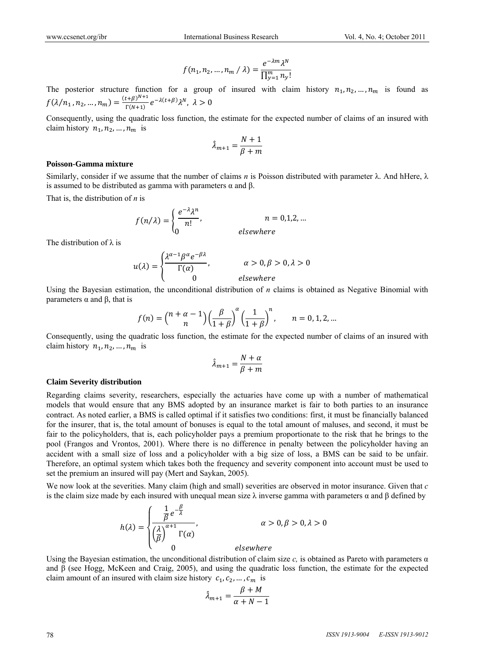$$
f(n_1, n_2, ..., n_m / \lambda) = \frac{e^{-\lambda m} \lambda^N}{\prod_{y=1}^m n_y!}
$$

The posterior structure function for a group of insured with claim history  $n_1, n_2, ..., n_m$  is found as  $f(\lambda/n_1, n_2, ..., n_m) = \frac{(t+\beta)^{N+1}}{\Gamma(N+1)} e^{-\lambda(t+\beta)} \lambda^N, \ \lambda > 0$ 

Consequently, using the quadratic loss function, the estimate for the expected number of claims of an insured with claim history  $n_1, n_2, \ldots, n_m$  is

$$
\hat{\lambda}_{m+1} = \frac{N+1}{\beta+m}
$$

#### Poisson-Gamma mixture

Similarly, consider if we assume that the number of claims n is Poisson distributed with parameter  $\lambda$ . And hHere,  $\lambda$ is assumed to be distributed as gamma with parameters  $\alpha$  and  $\beta$ .

That is, the distribution of  $n$  is

$$
f(n/\lambda) = \begin{cases} \frac{e^{-\lambda}\lambda^n}{n!}, & n = 0,1,2,... \\ 0 & \text{elsewhere} \end{cases}
$$

The distribution of  $\lambda$  is

$$
u(\lambda) = \begin{cases} \frac{\lambda^{\alpha-1} \beta^{\alpha} e^{-\beta \lambda}}{\Gamma(\alpha)}, & \alpha > 0, \beta > 0, \lambda > 0\\ 0 & \text{elsewhere} \end{cases}
$$

Using the Bayesian estimation, the unconditional distribution of  $n$  claims is obtained as Negative Binomial with parameters  $\alpha$  and  $\beta$ , that is

$$
f(n) = {n + \alpha - 1 \choose n} \left(\frac{\beta}{1 + \beta}\right)^{\alpha} \left(\frac{1}{1 + \beta}\right)^n, \qquad n = 0, 1, 2, ...
$$

Consequently, using the quadratic loss function, the estimate for the expected number of claims of an insured with claim history  $n_1, n_2, \ldots, n_m$  is

$$
\hat{\lambda}_{m+1} = \frac{N + \alpha}{\beta + m}
$$

#### **Claim Severity distribution**

Regarding claims severity, researchers, especially the actuaries have come up with a number of mathematical models that would ensure that any BMS adopted by an insurance market is fair to both parties to an insurance contract. As noted earlier, a BMS is called optimal if it satisfies two conditions: first, it must be financially balanced for the insurer, that is, the total amount of bonuses is equal to the total amount of maluses, and second, it must be fair to the policyholders, that is, each policyholder pays a premium proportionate to the risk that he brings to the pool (Frangos and Vrontos, 2001). Where there is no difference in penalty between the policyholder having an accident with a small size of loss and a policyholder with a big size of loss, a BMS can be said to be unfair. Therefore, an optimal system which takes both the frequency and severity component into account must be used to set the premium an insured will pay (Mert and Saykan, 2005).

We now look at the severities. Many claim (high and small) severities are observed in motor insurance. Given that  $c$ is the claim size made by each insured with unequal mean size  $\lambda$  inverse gamma with parameters  $\alpha$  and  $\beta$  defined by

$$
h(\lambda) = \begin{cases} \frac{1}{\beta} e^{-\frac{\beta}{\lambda}} \\ \left(\frac{\lambda}{\beta}\right)^{\alpha+1} \Gamma(\alpha) \\ 0 \end{cases}, \qquad \alpha > 0, \beta > 0, \lambda > 0
$$

Using the Bayesian estimation, the unconditional distribution of claim size c, is obtained as Pareto with parameters  $\alpha$ and  $\beta$  (see Hogg, McKeen and Craig, 2005), and using the quadratic loss function, the estimate for the expected claim amount of an insured with claim size history  $c_1, c_2, ..., c_m$  is

$$
\hat{\lambda}_{m+1} = \frac{\beta + M}{\alpha + N - 1}
$$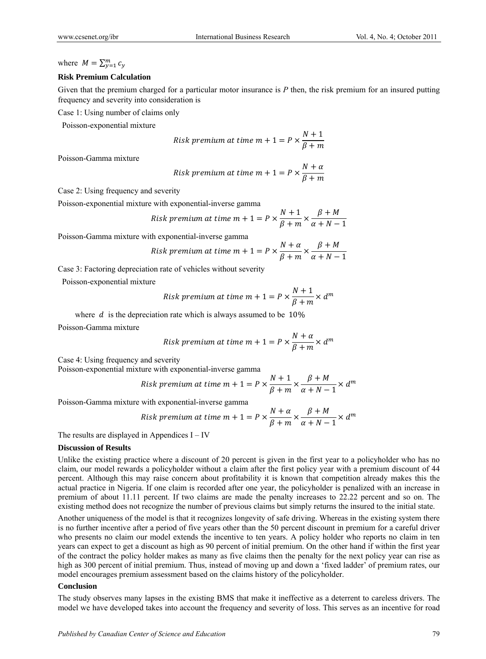where  $M = \sum_{\nu=1}^{m} c_{\nu}$ 

#### **Risk Premium Calculation**

Given that the premium charged for a particular motor insurance is  $P$  then, the risk premium for an insured putting frequency and severity into consideration is

Case 1: Using number of claims only

Poisson-exponential mixture

Risk premium at time 
$$
m + 1 = P \times \frac{N+1}{\beta + m}
$$

Poisson-Gamma mixture

Risk premium at time 
$$
m + 1 = P \times \frac{N + \alpha}{\beta + m}
$$

Case 2: Using frequency and severity

Poisson-exponential mixture with exponential-inverse gamma

Risk premium at time 
$$
m + 1 = P \times \frac{N+1}{\beta+m} \times \frac{\beta+M}{\alpha+N-1}
$$

Poisson-Gamma mixture with exponential-inverse gamma

Risk premium at time 
$$
m + 1 = P \times \frac{N + \alpha}{\beta + m} \times \frac{\beta + M}{\alpha + N - 1}
$$

Case 3: Factoring depreciation rate of vehicles without severity

Poisson-exponential mixture

Risk premium at time 
$$
m + 1 = P \times \frac{N+1}{\beta+m} \times d^m
$$

where  $d$  is the depreciation rate which is always assumed to be  $10\%$ 

Poisson-Gamma mixture

Risk premium at time 
$$
m + 1 = P \times \frac{N + \alpha}{\beta + m} \times d^m
$$

Case 4: Using frequency and severity

Poisson-exponential mixture with exponential-inverse gamma

Risk premium at time 
$$
m + 1 = P \times \frac{N+1}{\beta+m} \times \frac{\beta+M}{\alpha+N-1} \times d^m
$$

Poisson-Gamma mixture with exponential-inverse gamma

Risk premium at time 
$$
m + 1 = P \times \frac{N + \alpha}{\beta + m} \times \frac{\beta + M}{\alpha + N - 1} \times d^m
$$

The results are displayed in Appendices  $I - IV$ 

#### **Discussion of Results**

Unlike the existing practice where a discount of 20 percent is given in the first year to a policyholder who has no claim, our model rewards a policyholder without a claim after the first policy year with a premium discount of 44 percent. Although this may raise concern about profitability it is known that competition already makes this the actual practice in Nigeria. If one claim is recorded after one year, the policyholder is penalized with an increase in premium of about 11.11 percent. If two claims are made the penalty increases to 22.22 percent and so on. The existing method does not recognize the number of previous claims but simply returns the insured to the initial state.

Another uniqueness of the model is that it recognizes longevity of safe driving. Whereas in the existing system there is no further incentive after a period of five years other than the 50 percent discount in premium for a careful driver who presents no claim our model extends the incentive to ten years. A policy holder who reports no claim in ten years can expect to get a discount as high as 90 percent of initial premium. On the other hand if within the first year of the contract the policy holder makes as many as five claims then the penalty for the next policy year can rise as high as 300 percent of initial premium. Thus, instead of moving up and down a 'fixed ladder' of premium rates, our model encourages premium assessment based on the claims history of the policyholder.

#### Conclusion

The study observes many lapses in the existing BMS that make it ineffective as a deterrent to careless drivers. The model we have developed takes into account the frequency and severity of loss. This serves as an incentive for road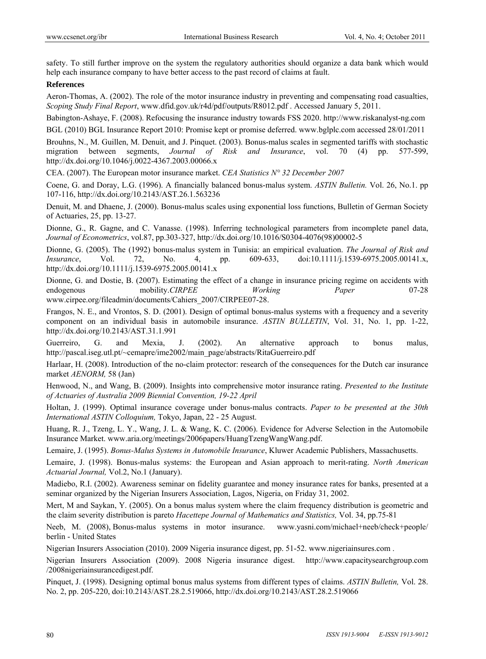safety. To still further improve on the system the regulatory authorities should organize a data bank which would help each insurance company to have better access to the past record of claims at fault.

#### **References**

Aeron-Thomas, A. (2002). The role of the motor insurance industry in preventing and compensating road casualties, *Scoping Study Final Report*, www.dfid.gov.uk/r4d/pdf/outputs/R8012.pdf . Accessed January 5, 2011.

Babington-Ashaye, F. (2008). Refocusing the insurance industry towards FSS 2020. http://www.riskanalyst-ng.com

BGL (2010) BGL Insurance Report 2010: Promise kept or promise deferred. www.bglplc.com accessed 28/01/2011

Brouhns, N., M. Guillen, M. Denuit, and J. Pinquet. (2003). Bonus-malus scales in segmented tariffs with stochastic migration between segments, *Journal of Risk and Insurance*, vol. 70 (4) pp. 577-599, http://dx.doi.org/10.1046/j.0022-4367.2003.00066.x

CEA. (2007). The European motor insurance market. *CEA Statistics N° 32 December 2007*

Coene, G. and Doray, L.G. (1996). A financially balanced bonus-malus system. *ASTIN Bulletin.* Vol. 26, No.1. pp 107-116, http://dx.doi.org/10.2143/AST.26.1.563236

Denuit, M. and Dhaene, J. (2000). Bonus-malus scales using exponential loss functions, Bulletin of German Society of Actuaries, 25, pp. 13-27.

Dionne, G., R. Gagne, and C. Vanasse. (1998). Inferring technological parameters from incomplete panel data, *Journal of Econometrics*, vol.87, pp.303-327, http://dx.doi.org/10.1016/S0304-4076(98)00002-5

Dionne, G. (2005). The (1992) bonus-malus system in Tunisia: an empirical evaluation. *The Journal of Risk and Insurance*, Vol. 72, No. 4, pp. 609-633, doi:10.1111/j.1539-6975.2005.00141.x, http://dx.doi.org/10.1111/j.1539-6975.2005.00141.x

Dionne, G. and Dostie, B. (2007). Estimating the effect of a change in insurance pricing regime on accidents with endogenous mobility.*CIRPEE Working Paper* 07-28 www.cirpee.org/fileadmin/documents/Cahiers\_2007/CIRPEE07-28.

Frangos, N. E., and Vrontos, S. D. (2001). Design of optimal bonus-malus systems with a frequency and a severity component on an individual basis in automobile insurance. *ASTIN BULLETIN*, Vol. 31, No. 1, pp. 1-22, http://dx.doi.org/10.2143/AST.31.1.991

Guerreiro, G. and Mexia, J. (2002). An alternative approach to bonus malus, http://pascal.iseg.utl.pt/~cemapre/ime2002/main\_page/abstracts/RitaGuerreiro.pdf

Harlaar, H. (2008). Introduction of the no-claim protector: research of the consequences for the Dutch car insurance market *AENORM,* 58 (Jan)

Henwood, N., and Wang, B. (2009). Insights into comprehensive motor insurance rating. *Presented to the Institute of Actuaries of Australia 2009 Biennial Convention, 19-22 April* 

Holtan, J. (1999). Optimal insurance coverage under bonus-malus contracts. *Paper to be presented at the 30th International ASTIN Colloquium,* Tokyo, Japan, 22 - 25 August.

Huang, R. J., Tzeng, L. Y., Wang, J. L. & Wang, K. C. (2006). Evidence for Adverse Selection in the Automobile Insurance Market. www.aria.org/meetings/2006papers/HuangTzengWangWang.pdf.

Lemaire, J. (1995). *Bonus-Malus Systems in Automobile Insurance*, Kluwer Academic Publishers, Massachusetts.

Lemaire, J. (1998). Bonus-malus systems: the European and Asian approach to merit-rating. *North American Actuarial Journal,* Vol.2, No.1 (January).

Madiebo, R.I. (2002). Awareness seminar on fidelity guarantee and money insurance rates for banks, presented at a seminar organized by the Nigerian Insurers Association, Lagos, Nigeria, on Friday 31, 2002.

Mert, M and Saykan, Y. (2005). On a bonus malus system where the claim frequency distribution is geometric and the claim severity distribution is pareto *Hacettepe Journal of Mathematics and Statistics,* Vol. 34, pp.75-81

Neeb, M. (2008), Bonus-malus systems in motor insurance. www.yasni.com/michael+neeb/check+people/ berlin - United States

Nigerian Insurers Association (2010). 2009 Nigeria insurance digest, pp. 51-52. www.nigeriainsures.com .

Nigerian Insurers Association (2009). 2008 Nigeria insurance digest. http://www.capacitysearchgroup.com /2008nigeriainsurancedigest.pdf.

Pinquet, J. (1998). Designing optimal bonus malus systems from different types of claims. *ASTIN Bulletin,* Vol. 28. No. 2, pp. 205-220, doi:10.2143/AST.28.2.519066, http://dx.doi.org/10.2143/AST.28.2.519066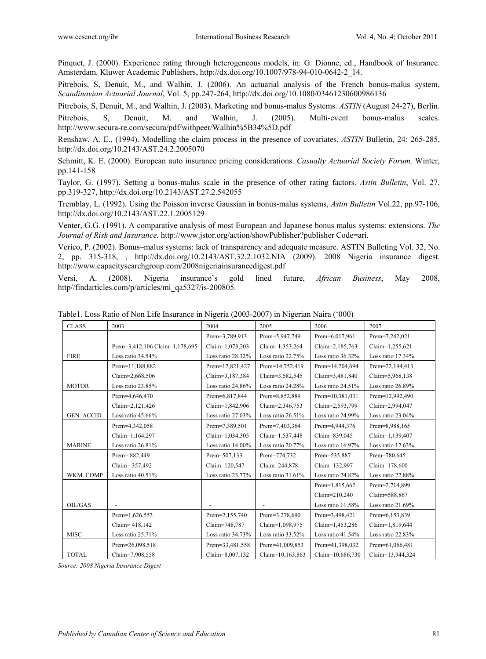Pinquet, J. (2000). Experience rating through heterogeneous models, in: G. Dionne, ed., Handbook of Insurance. Amsterdam. Kluwer Academic Publishers, http://dx.doi.org/10.1007/978-94-010-0642-2\_14.

Pitrebois, S, Denuit, M., and Walhin, J. (2006). An actuarial analysis of the French bonus-malus system, *Scandinavian Actuarial Journal*, Vol. 5, pp.247-264, http://dx.doi.org/10.1080/03461230600986136

Pitrebois, S, Denuit, M., and Walhin, J. (2003). Marketing and bonus-malus Systems. *ASTIN* (August 24-27), Berlin. Pitrebois, S, Denuit, M. and Walhin, J. (2005). Multi-event bonus-malus scales. http://www.secura-re.com/secura/pdf/withpeer/Walhin%5B34%5D.pdf

Renshaw, A. E., (1994). Modelling the claim process in the presence of covariates, *ASTIN* Bulletin, 24: 265-285, http://dx.doi.org/10.2143/AST.24.2.2005070

Schmitt, K. E. (2000). European auto insurance pricing considerations. *Casualty Actuarial Society Forum,* Winter, pp.141-158

Taylor, G. (1997). Setting a bonus-malus scale in the presence of other rating factors. *Astin Bulletin*, Vol. 27, pp.319-327, http://dx.doi.org/10.2143/AST.27.2.542055

Tremblay, L. (1992). Using the Poisson inverse Gaussian in bonus-malus systems, *Astin Bulletin* Vol.22, pp.97-106, http://dx.doi.org/10.2143/AST.22.1.2005129

Venter, G.G. (1991). A comparative analysis of most European and Japanese bonus malus systems: extensions. *The Journal of Risk and Insurance.* http://www.jstor.org/action/showPublisher?publisher Code=ari.

Verico, P. (2002). Bonus–malus systems: lack of transparency and adequate measure. ASTIN Bulleting Vol. 32, No. 2, pp. 315-318, , http://dx.doi.org/10.2143/AST.32.2.1032.NIA (2009). 2008 Nigeria insurance digest. http://www.capacitysearchgroup.com/2008nigeriainsurancedigest.pdf

Versi, A. (2008). Nigeria insurance's gold lined future, *African Business*, May 2008, http//findarticles.com/p/articles/mi\_qa5327/is-200805.

| <b>CLASS</b>  | 2003                           | 2004                 | 2005                 | 2006                 | 2007                 |
|---------------|--------------------------------|----------------------|----------------------|----------------------|----------------------|
|               |                                | Prem=3,789,913       | Prem=5,947,749       | Prem=6,017,961       | Prem=7,242,021       |
|               | Prem=3,412,106 Claim=1,178,695 | Claim=1,073,203      | Claim=1,353,264      | Claim=2,185,763      | Claim=1,255,621      |
| <b>FIRE</b>   | Loss ratio 34.54%              | Loss ratio 28.32%    | Loss ratio 22.75%    | Loss ratio 36.32%    | Loss ratio 17.34%    |
|               | Prem=11,188,882                | Prem=12,821,427      | Prem=14,752,419      | Prem=14,204,694      | Prem=22,194,413      |
|               | Claim=2,668,506                | Claim=3,187,384      | Claim=3,582,545      | Claim=3,481,840      | Claim=5,968,138      |
| <b>MOTOR</b>  | Loss ratio $23.85\%$           | Loss ratio $24.86\%$ | Loss ratio 24.28%    | Loss ratio $24.51\%$ | Loss ratio $26.89\%$ |
|               | Prem=4,646,470                 | Prem=6,817,844       | Prem=8,852,889       | Prem=10,381,031      | Prem=12,992,490      |
|               | Claim=2,121,426                | Claim=1,842,906      | Claim=2,346,753      | Claim=2,593,799      | Claim=2,994,047      |
| GEN. ACCID.   | Loss ratio $45.66\%$           | Loss ratio $27.03\%$ | Loss ratio $26.51\%$ | Loss ratio 24.99%    | Loss ratio $23.04\%$ |
|               | Prem=4,342,058                 | Prem=7,389,501       | Prem=7,403,364       | Prem=4,944,376       | Prem=8,988,165       |
|               | Claim=1,164,297                | Claim=1,034,305      | Claim=1,537,448      | Claim=839,045        | Claim=1,139,407      |
| <b>MARINE</b> | Loss ratio 26.81%              | Loss ratio 14.00%    | Loss ratio 20.77%    | Loss ratio 16.97%    | Loss ratio $12.63\%$ |
|               | Prem=882,449                   | Prem=507,133         | Prem=774,732         | Prem=535,887         | Prem=780,645         |
|               | Claim= 357,492                 | Claim=120,547        | Claim=244,878        | Claim=132,997        | Claim=178,600        |
| WKM. COMP     | Loss ratio $40.51\%$           | Loss ratio 23.77%    | Loss ratio $31.61\%$ | Loss ratio 24.82%    | Loss ratio 22.88%    |
|               |                                |                      |                      | Prem=1,815,662       | Prem=2,714,899       |
|               |                                |                      |                      | Claim=210,240        | Claim=588,867        |
| OIL/GAS       |                                |                      |                      | Loss ratio $11.58\%$ | Loss ratio $21.69\%$ |
|               | Prem=1,626,553                 | Prem=2,155,740       | Prem=3,278,690       | Prem=3,498,421       | Prem=6,153,839       |
|               | Claim= 418,142                 | Claim=748,787        | Claim=1,098,975      | Claim=1,453,286      | Claim=1,819,644      |
| <b>MISC</b>   | Loss ratio 25.71%              | Loss ratio 34.73%    | Loss ratio $33.52\%$ | Loss ratio $41.54\%$ | Loss ratio $22.83\%$ |
|               | Prem=26,098,518                | Prem=33,481,558      | Prem=41,009,853      | Prem=41,398,032      | Prem=61,066,481      |
| <b>TOTAL</b>  | Claim=7,908,558                | Claim=8,007,132      | Claim=10,163,863     | Claim=10,686,730     | Claim=13,944,324     |

| Table1. Loss Ratio of Non Life Insurance in Nigeria (2003-2007) in Nigerian Naira ('000) |  |  |
|------------------------------------------------------------------------------------------|--|--|
|                                                                                          |  |  |

*Source: 2008 Nigeria Insurance Digest*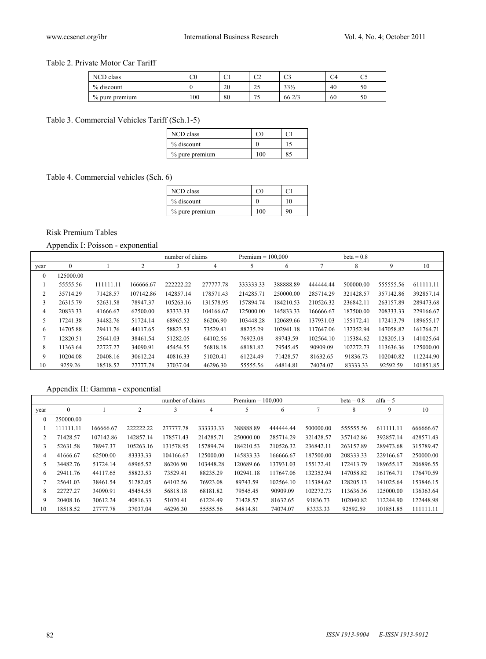#### Table 2. Private Motor Car Tariff

| NCD class      | $_{\rm C0}$ | $\sim$<br>◡ | $\sim$<br>◡▵       | $\sim$<br>ັ | U4 | $\alpha$<br>w |
|----------------|-------------|-------------|--------------------|-------------|----|---------------|
| % discount     |             | 20          | $\Omega$<br>ر ے    | $33\%$      | 40 | 50            |
| % pure premium | 100         | 80          | $\sim$ $\sim$<br>◡ | 662/3       | 60 | 50            |

## Table 3. Commercial Vehicles Tariff (Sch.1-5)

| NCD class      | . YD |  |
|----------------|------|--|
| % discount     |      |  |
| % pure premium | 100  |  |

Table 4. Commercial vehicles (Sch. 6)

| NCD class      | ല   |    |
|----------------|-----|----|
| % discount     |     | 10 |
| % pure premium | 100 | 90 |

## Risk Premium Tables

## Appendix I: Poisson - exponential

|              |              |           |                | number of claims |           |           | $Premium = 100.000$ |           | $beta = 0.8$ |           |           |
|--------------|--------------|-----------|----------------|------------------|-----------|-----------|---------------------|-----------|--------------|-----------|-----------|
| year         | $\mathbf{0}$ |           | $\overline{2}$ | 3                | 4         | 5         | 6                   | −         | 8            | 9         | 10        |
| $\mathbf{0}$ | 125000.00    |           |                |                  |           |           |                     |           |              |           |           |
|              | 55555.56     | 111111.11 | 166666.67      | 222222.22        | 277777.78 | 333333.33 | 388888.89           | 444444.44 | 500000.00    | 555555.56 | 611111.11 |
| 2            | 35714.29     | 71428.57  | 107142.86      | 142857.14        | 178571.43 | 214285.71 | 250000.00           | 285714.29 | 321428.57    | 357142.86 | 392857.14 |
| 3            | 26315.79     | 52631.58  | 78947.37       | 105263.16        | 131578.95 | 157894.74 | 184210.53           | 210526.32 | 236842.11    | 263157.89 | 289473.68 |
| 4            | 20833.33     | 41666.67  | 62500.00       | 83333.33         | 104166.67 | 125000.00 | 145833.33           | 166666.67 | 187500.00    | 208333.33 | 229166.67 |
| 5            | 17241.38     | 34482.76  | 51724.14       | 68965.52         | 86206.90  | 103448.28 | 120689.66           | 137931.03 | 155172.41    | 172413.79 | 189655.17 |
| 6            | 14705.88     | 29411.76  | 44117.65       | 58823.53         | 73529.41  | 88235.29  | 102941.18           | 117647.06 | 132352.94    | 147058.82 | 161764.71 |
|              | 12820.51     | 25641.03  | 38461.54       | 51282.05         | 64102.56  | 76923.08  | 89743.59            | 102564.10 | 115384.62    | 128205.13 | 141025.64 |
| 8            | 11363.64     | 22727.27  | 34090.91       | 45454.55         | 56818.18  | 68181.82  | 79545.45            | 90909.09  | 102272.73    | 113636.36 | 125000.00 |
| 9            | 10204.08     | 20408.16  | 30612.24       | 40816.33         | 51020.41  | 61224.49  | 71428.57            | 81632.65  | 91836.73     | 102040.82 | 112244.90 |
| 10           | 9259.26      | 18518.52  | 27777.78       | 37037.04         | 46296.30  | 55555.56  | 64814.81            | 74074.07  | 83333.33     | 92592.59  | 101851.85 |

# Appendix II: Gamma - exponential

|                |              |           |           | number of claims |           | $Premium = 100.000$ |           |           | $beta = 0.8$ | alfa = $5$ |           |
|----------------|--------------|-----------|-----------|------------------|-----------|---------------------|-----------|-----------|--------------|------------|-----------|
| year           | $\mathbf{0}$ |           | 2         | 3                | 4         |                     | 6         | ┑         | 8            | 9          | 10        |
| $\mathbf{0}$   | 250000.00    |           |           |                  |           |                     |           |           |              |            |           |
|                | 111111.11    | 166666.67 | 222222.22 | 277777.78        | 333333.33 | 388888.89           | 444444.44 | 500000.00 | 555555.56    | 611111.11  | 666666.67 |
| $\overline{c}$ | 71428.57     | 107142.86 | 142857.14 | 178571.43        | 214285.71 | 250000.00           | 285714.29 | 321428.57 | 357142.86    | 392857.14  | 428571.43 |
| 3              | 52631.58     | 78947.37  | 105263.16 | 131578.95        | 157894.74 | 184210.53           | 210526.32 | 236842.11 | 263157.89    | 289473.68  | 315789.47 |
| $\overline{4}$ | 41666.67     | 62500.00  | 83333.33  | 104166.67        | 125000.00 | 145833.33           | 166666.67 | 187500.00 | 208333.33    | 229166.67  | 250000.00 |
| 5              | 34482.76     | 51724.14  | 68965.52  | 86206.90         | 103448.28 | 120689.66           | 137931.03 | 155172.41 | 172413.79    | 189655.17  | 206896.55 |
| 6              | 29411.76     | 44117.65  | 58823.53  | 73529.41         | 88235.29  | 102941.18           | 117647.06 | 132352.94 | 147058.82    | 161764.71  | 176470.59 |
|                | 25641.03     | 38461.54  | 51282.05  | 64102.56         | 76923.08  | 89743.59            | 102564.10 | 115384.62 | 128205.13    | 141025.64  | 153846.15 |
| 8              | 22727.27     | 34090.91  | 45454.55  | 56818.18         | 68181.82  | 79545.45            | 90909.09  | 102272.73 | 113636.36    | 125000.00  | 136363.64 |
| 9              | 20408.16     | 30612.24  | 40816.33  | 51020.41         | 61224.49  | 71428.57            | 81632.65  | 91836.73  | 102040.82    | 112244.90  | 122448.98 |
| 10             | 18518.52     | 27777.78  | 37037.04  | 46296.30         | 55555.56  | 64814.81            | 74074.07  | 83333.33  | 92592.59     | 101851.85  | 111111.11 |